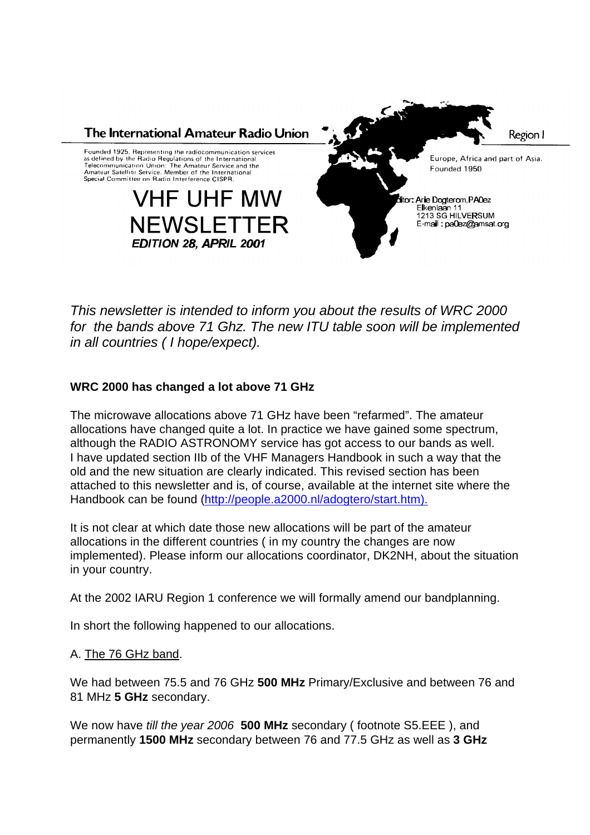

*This newsletter is intended to inform you about the results of WRC 2000 for the bands above 71 Ghz. The new ITU table soon will be implemented in all countries ( I hope/expect).*

# **WRC 2000 has changed a lot above 71 GHz**

The microwave allocations above 71 GHz have been "refarmed". The amateur allocations have changed quite a lot. In practice we have gained some spectrum, although the RADIO ASTRONOMY service has got access to our bands as well. I have updated section IIb of the VHF Managers Handbook in such a way that the old and the new situation are clearly indicated. This revised section has been attached to this newsletter and is, of course, available at the internet site where the Handbook can be found (http://people.a2000.nl/adogtero/start.htm).

It is not clear at which date those new allocations will be part of the amateur allocations in the different countries ( in my country the changes are now implemented). Please inform our allocations coordinator, DK2NH, about the situation in your country.

At the 2002 IARU Region 1 conference we will formally amend our bandplanning.

In short the following happened to our allocations.

# A. The 76 GHz band.

We had between 75.5 and 76 GHz **500 MHz** Primary/Exclusive and between 76 and 81 MHz **5 GHz** secondary.

We now have *till the year 2006* **500 MHz** secondary ( footnote S5.EEE ), and permanently **1500 MHz** secondary between 76 and 77.5 GHz as well as **3 GHz**